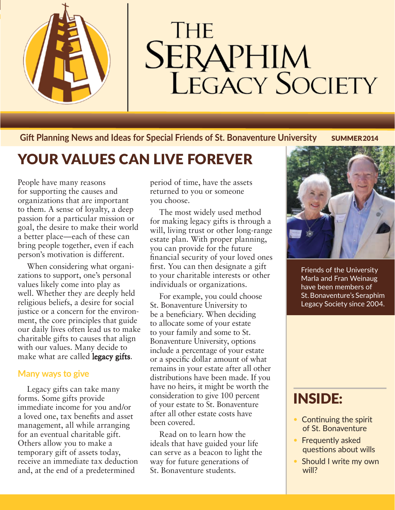

# **THE SERAPHIM**<br>LEGACY SOCIETY

**Gift Planning News and Ideas for Special Friends of St. Bonaventure University SUMMER 2014** 

## YOUR VALUES CAN LIVE FOREVER

People have many reasons for supporting the causes and organizations that are important to them. A sense of loyalty, a deep passion for a particular mission or goal, the desire to make their world a better place—each of these can bring people together, even if each person's motivation is different.

When considering what organizations to support, one's personal values likely come into play as well. Whether they are deeply held religious beliefs, a desire for social justice or a concern for the environment, the core principles that guide our daily lives often lead us to make charitable gifts to causes that align with our values. Many decide to make what are called **legacy gifts.** 

#### **Many ways to give**

Legacy gifts can take many forms. Some gifts provide immediate income for you and/or a loved one, tax benefits and asset management, all while arranging for an eventual charitable gift. Others allow you to make a temporary gift of assets today, receive an immediate tax deduction and, at the end of a predetermined

period of time, have the assets returned to you or someone you choose.

The most widely used method for making legacy gifts is through a will, living trust or other long-range estate plan. With proper planning, you can provide for the future financial security of your loved ones first. You can then designate a gift to your charitable interests or other individuals or organizations.

For example, you could choose St. Bonaventure University to be a beneficiary. When deciding to allocate some of your estate to your family and some to St. Bonaventure University, options include a percentage of your estate or a specific dollar amount of what remains in your estate after all other distributions have been made. If you have no heirs, it might be worth the consideration to give 100 percent of your estate to St. Bonaventure after all other estate costs have been covered.

Read on to learn how the ideals that have guided your life can serve as a beacon to light the way for future generations of St. Bonaventure students.



Friends of the University Marla and Fran Weinaug have been members of St. Bonaventure's Seraphim Legacy Society since 2004.

## INSIDE:

- Continuing the spirit of St. Bonaventure
- Frequently asked questions about wills
- Should I write my own will?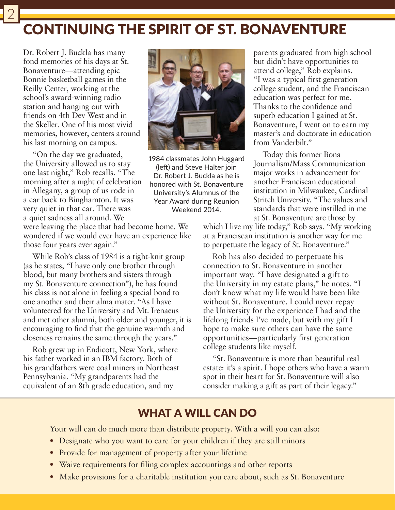## CONTINUING THE SPIRIT OF ST. BONAVENTURE

Dr. Robert J. Buckla has many fond memories of his days at St. Bonaventure—attending epic Bonnie basketball games in the Reilly Center, working at the school's award-winning radio station and hanging out with friends on 4th Dev West and in the Skeller. One of his most vivid memories, however, centers around his last morning on campus.

"On the day we graduated, the University allowed us to stay one last night," Rob recalls. "The morning after a night of celebration in Allegany, a group of us rode in a car back to Binghamton. It was very quiet in that car. There was a quiet sadness all around. We



1984 classmates John Huggard (left) and Steve Halter join Dr. Robert J. Buckla as he is honored with St. Bonaventure University's Alumnus of the Year Award during Reunion Weekend 2014.

were leaving the place that had become home. We wondered if we would ever have an experience like those four years ever again."

While Rob's class of 1984 is a tight-knit group (as he states, "I have only one brother through blood, but many brothers and sisters through my St. Bonaventure connection"), he has found his class is not alone in feeling a special bond to one another and their alma mater. "As I have volunteered for the University and Mt. Irenaeus and met other alumni, both older and younger, it is encouraging to find that the genuine warmth and closeness remains the same through the years."

Rob grew up in Endicott, New York, where his father worked in an IBM factory. Both of his grandfathers were coal miners in Northeast Pennsylvania. "My grandparents had the equivalent of an 8th grade education, and my

parents graduated from high school but didn't have opportunities to attend college," Rob explains. "I was a typical first generation college student, and the Franciscan education was perfect for me. Thanks to the confidence and superb education I gained at St. Bonaventure, I went on to earn my master's and doctorate in education from Vanderbilt."

Today this former Bona Journalism/Mass Communication major works in advancement for another Franciscan educational institution in Milwaukee, Cardinal Stritch University. "The values and standards that were instilled in me at St. Bonaventure are those by

which I live my life today," Rob says. "My working at a Franciscan institution is another way for me to perpetuate the legacy of St. Bonaventure."

Rob has also decided to perpetuate his connection to St. Bonaventure in another important way. "I have designated a gift to the University in my estate plans," he notes. "I don't know what my life would have been like without St. Bonaventure. I could never repay the University for the experience I had and the lifelong friends I've made, but with my gift I hope to make sure others can have the same opportunities—particularly first generation college students like myself.

"St. Bonaventure is more than beautiful real estate: it's a spirit. I hope others who have a warm spot in their heart for St. Bonaventure will also consider making a gift as part of their legacy."

### WHAT A WILL CAN DO

Your will can do much more than distribute property. With a will you can also:

- Designate who you want to care for your children if they are still minors
- Provide for management of property after your lifetime
- Waive requirements for filing complex accountings and other reports
- Make provisions for a charitable institution you care about, such as St. Bonaventure

2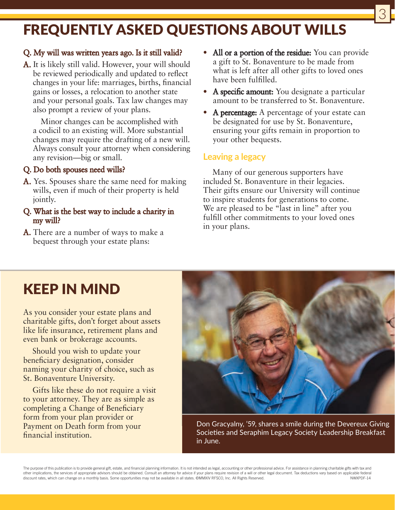## FREQUENTLY ASKED QUESTIONS ABOUT WILLS

#### Q. My will was written years ago. Is it still valid?

A. It is likely still valid. However, your will should be reviewed periodically and updated to reflect changes in your life: marriages, births, financial gains or losses, a relocation to another state and your personal goals. Tax law changes may also prompt a review of your plans.

Minor changes can be accomplished with a codicil to an existing will. More substantial changes may require the drafting of a new will. Always consult your attorney when considering any revision—big or small.

#### Q. Do both spouses need wills?

A. Yes. Spouses share the same need for making wills, even if much of their property is held jointly.

#### Q. What is the best way to include a charity in my will?

A. There are a number of ways to make a bequest through your estate plans:

• All or a portion of the residue: You can provide a gift to St. Bonaventure to be made from what is left after all other gifts to loved ones have been fulfilled.

3

- A specific amount: You designate a particular amount to be transferred to St. Bonaventure.
- A percentage: A percentage of your estate can be designated for use by St. Bonaventure, ensuring your gifts remain in proportion to your other bequests.

#### **Leaving a legacy**

Many of our generous supporters have included St. Bonaventure in their legacies. Their gifts ensure our University will continue to inspire students for generations to come. We are pleased to be "last in line" after you fulfill other commitments to your loved ones in your plans.

## KEEP IN MIND

As you consider your estate plans and charitable gifts, don't forget about assets like life insurance, retirement plans and even bank or brokerage accounts.

Should you wish to update your beneficiary designation, consider naming your charity of choice, such as St. Bonaventure University.

Gifts like these do not require a visit to your attorney. They are as simple as completing a Change of Beneficiary form from your plan provider or Payment on Death form from your financial institution.



Don Gracyalny, '59, shares a smile during the Devereux Giving Societies and Seraphim Legacy Society Leadership Breakfast in June.

The purpose of this publication is to provide general gift, estate, and financial planning information. It is not intended as legal, accounting or other professional advice. For assistance in planning charitable gifts with other implications, the services of appropriate advisors should be obtained. Consult an attorney for advice if your plans require revision of a will or other legal document. Tax deductions vary based on applicable federal<br> discount rates, which can change on a monthly basis. Some opportunities may not be available in all states. ©MMXIV RFSCO, Inc. All Rights Reserved.